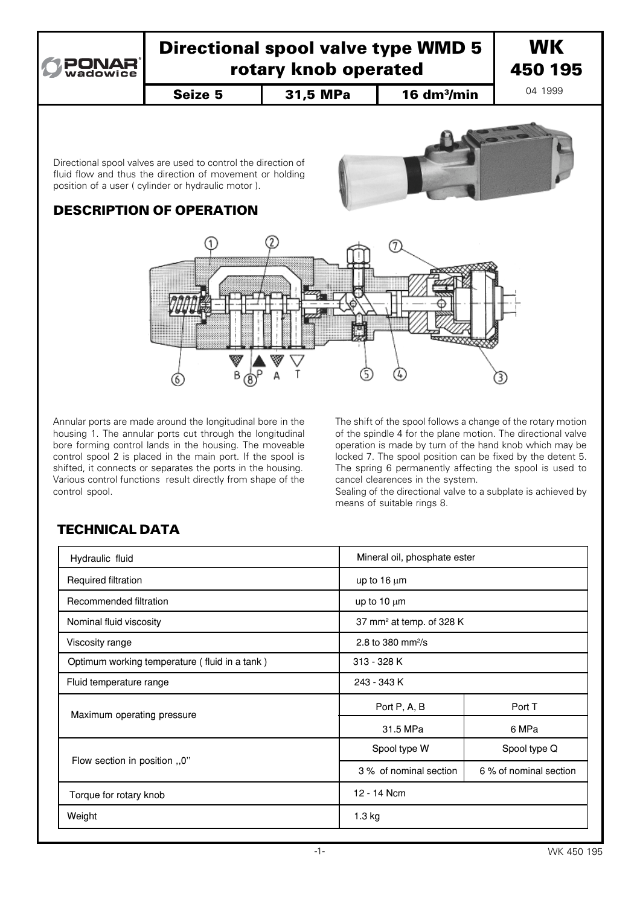

# Directional spool valve type WMD 5 rotary knob operated

Seize 5 | 31,5 MPa | 16 dm<sup>3</sup>/min

**WK** 450 195

04 1999

Directional spool valves are used to control the direction of fluid flow and thus the direction of movement or holding position of a user ( cylinder or hydraulic motor ).



# DESCRIPTION OF OPERATION



Annular ports are made around the longitudinal bore in the housing 1. The annular ports cut through the longitudinal bore forming control lands in the housing. The moveable control spool 2 is placed in the main port. If the spool is shifted, it connects or separates the ports in the housing. Various control functions result directly from shape of the control spool.

The shift of the spool follows a change of the rotary motion of the spindle 4 for the plane motion. The directional valve operation is made by turn of the hand knob which may be locked 7. The spool position can be fixed by the detent 5. The spring 6 permanently affecting the spool is used to cancel clearences in the system.

Sealing of the directional valve to a subplate is achieved by means of suitable rings 8.

| Hydraulic fluid                               |                                      | Mineral oil, phosphate ester |  |
|-----------------------------------------------|--------------------------------------|------------------------------|--|
| Required filtration                           | up to $16 \mu m$                     |                              |  |
| Recommended filtration                        | up to $10 \mu m$                     |                              |  |
| Nominal fluid viscosity                       | 37 mm <sup>2</sup> at temp. of 328 K |                              |  |
| Viscosity range                               | 2.8 to 380 mm <sup>2</sup> /s        |                              |  |
| Optimum working temperature (fluid in a tank) | 313 - 328 K                          |                              |  |
| Fluid temperature range                       | 243 - 343 K                          |                              |  |
| Maximum operating pressure                    | Port P, A, B                         | Port T                       |  |
|                                               | 31.5 MPa                             | 6 MPa                        |  |
| Flow section in position ,,0"                 | Spool type W                         | Spool type Q                 |  |
|                                               | 3% of nominal section                | 6 % of nominal section       |  |
| Torque for rotary knob                        | 12 - 14 Ncm                          |                              |  |
| Weight                                        | 1.3 kg                               |                              |  |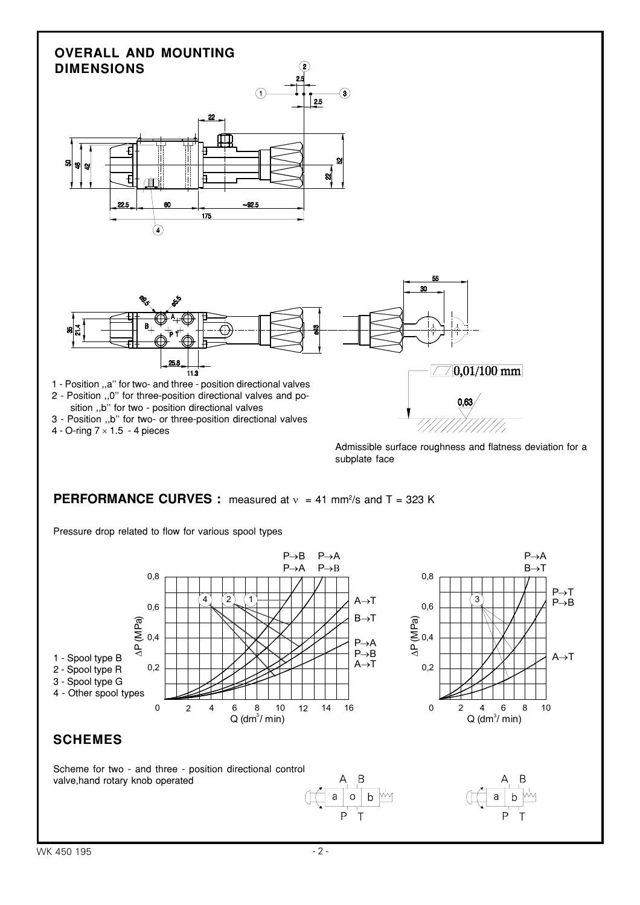# **OVERALL AND MOUNTING DIMENSIONS**





2 - Position ,,0'' for three-position directional valves and po sition ,,b'' for two - position directional valves

- 3 Position ,,b'' for two- or three-position directional valves
- 4 O-ring  $7 \times 1.5$  4 pieces

Admissible surface roughness and flatness deviation for a subplate face

%

#### **PERFORMANCE CURVES :** measured at  $v = 41$  mm<sup>2</sup>/s and T = 323 K

Pressure drop related to flow for various spool types

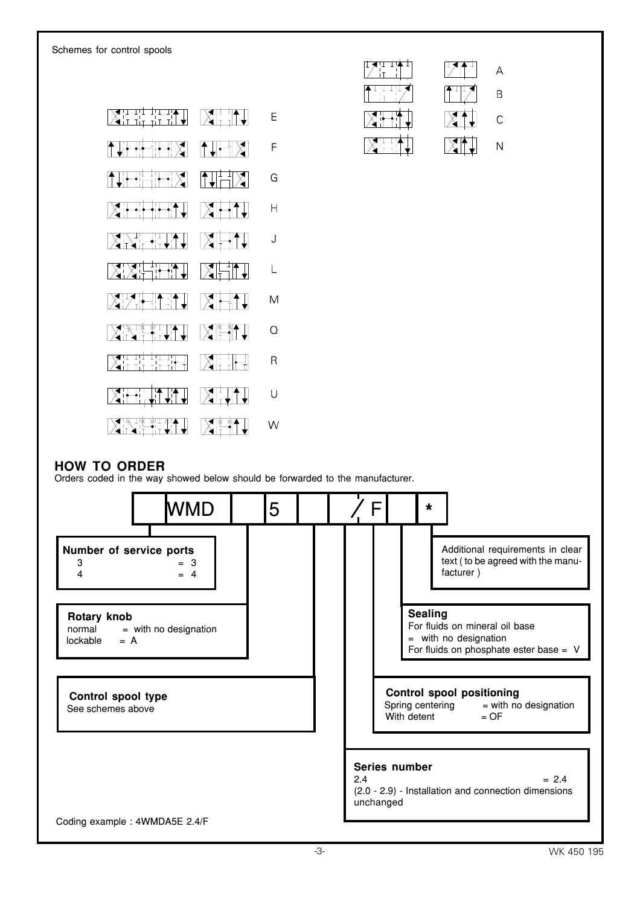

| $\sim$ | $\mathcal{L}$            | ▵ |
|--------|--------------------------|---|
|        | $\overline{\phantom{a}}$ | R |
|        | A    <br>– ∨ ⊺           | С |
|        |                          |   |

#### **HOW TO ORDER**

Orders coded in the way showed below should be forwarded to the manufacturer.